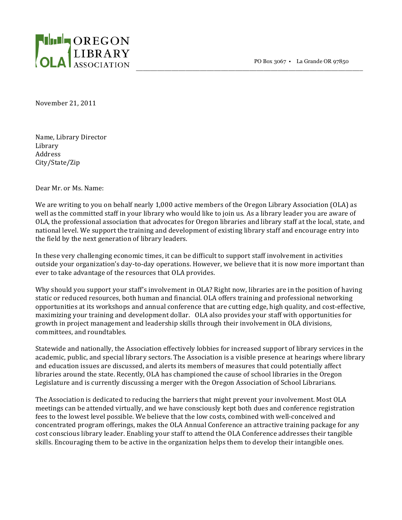PO Box 3067 • La Grande OR 97850

\_\_\_\_\_\_\_\_\_\_\_\_\_\_\_\_\_\_\_\_\_\_\_\_\_\_\_\_\_\_\_\_\_\_\_\_\_\_\_\_\_\_\_\_\_\_\_\_\_\_\_\_\_\_\_\_\_\_\_\_\_\_\_\_



November 21, 2011

Name, Library Director Library Address City/State/Zip

Dear Mr. or Ms. Name:

We are writing to you on behalf nearly 1,000 active members of the Oregon Library Association (OLA) as well as the committed staff in your library who would like to join us. As a library leader you are aware of OLA, the professional association that advocates for Oregon libraries and library staff at the local, state, and national level. We support the training and development of existing library staff and encourage entry into the field by the next generation of library leaders.

In these very challenging economic times, it can be difficult to support staff involvement in activities outside your organization's day-to-day operations. However, we believe that it is now more important than ever to take advantage of the resources that OLA provides.

Why should you support your staff's involvement in OLA? Right now, libraries are in the position of having static or reduced resources, both human and financial. OLA offers training and professional networking opportunities at its workshops and annual conference that are cutting edge, high quality, and cost-effective, maximizing your training and development dollar. OLA also provides your staff with opportunities for growth in project management and leadership skills through their involvement in OLA divisions, committees, and roundtables.

Statewide and nationally, the Association effectively lobbies for increased support of library services in the academic, public, and special library sectors. The Association is a visible presence at hearings where library and education issues are discussed, and alerts its members of measures that could potentially affect libraries around the state. Recently, OLA has championed the cause of school libraries in the Oregon Legislature and is currently discussing a merger with the Oregon Association of School Librarians.

The Association is dedicated to reducing the barriers that might prevent your involvement. Most OLA meetings can be attended virtually, and we have consciously kept both dues and conference registration fees to the lowest level possible. We believe that the low costs, combined with well-conceived and concentrated program offerings, makes the OLA Annual Conference an attractive training package for any cost conscious library leader. Enabling your staff to attend the OLA Conference addresses their tangible skills. Encouraging them to be active in the organization helps them to develop their intangible ones.